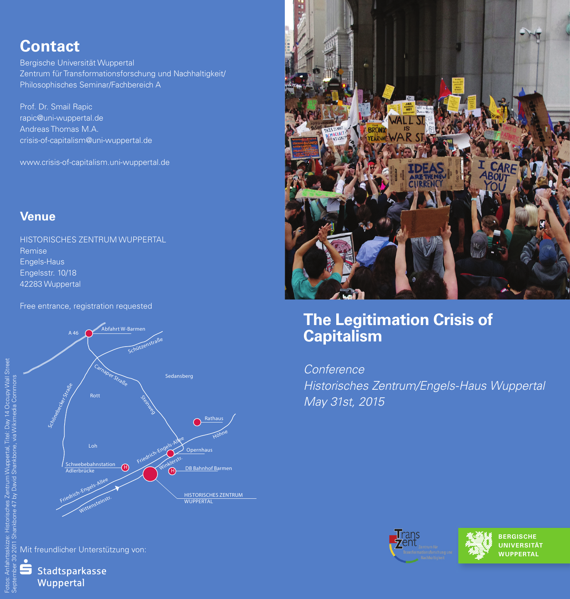# **Contact**

Bergische Universität Wuppertal Zentrum für Transformationsforschung und Nachhaltigkeit/ Philosophisches Seminar/Fachbereich A

Prof. Dr. Smail Rapic rapic@uni-wuppertal.de Andreas Thomas M.A. crisis-of-capitalism@uni-wuppertal.de

www.crisis-of-capitalism.uni-wuppertal.de

#### **Venue**

HISTORISCHES ZENTRUM WUPPERTAL Remise Engels-Haus Engelsstr. 10/18 42283 Wuppertal

Free entrance, registration requested





## **The Legitimation Crisis of Capitalism**

*Conference Historisches Zentrum/Engels-Haus Wuppertal May 31st, 2015*





**BERGISCHE UNIVERSITÄT WUPPERTAL**

Mit freundlicher Unterstützung von:

Ś Stadtsparkasse Wuppertal